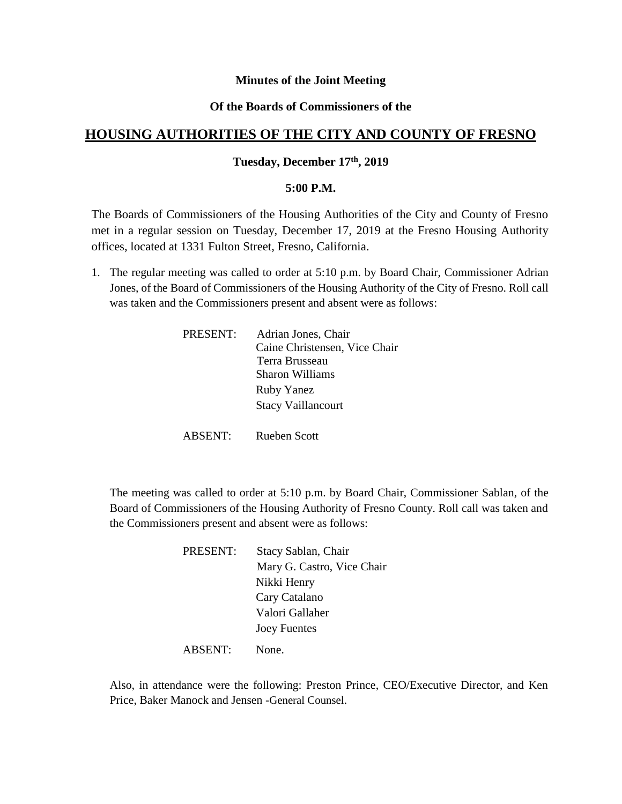### **Minutes of the Joint Meeting**

### **Of the Boards of Commissioners of the**

# **HOUSING AUTHORITIES OF THE CITY AND COUNTY OF FRESNO**

### **Tuesday, December 17th, 2019**

#### **5:00 P.M.**

The Boards of Commissioners of the Housing Authorities of the City and County of Fresno met in a regular session on Tuesday, December 17, 2019 at the Fresno Housing Authority offices, located at 1331 Fulton Street, Fresno, California.

1. The regular meeting was called to order at 5:10 p.m. by Board Chair, Commissioner Adrian Jones, of the Board of Commissioners of the Housing Authority of the City of Fresno. Roll call was taken and the Commissioners present and absent were as follows:

| PRESENT: | Adrian Jones, Chair           |
|----------|-------------------------------|
|          | Caine Christensen, Vice Chair |
|          | Terra Brusseau                |
|          | Sharon Williams               |
|          | <b>Ruby Yanez</b>             |
|          | <b>Stacy Vaillancourt</b>     |
|          |                               |

ABSENT: Rueben Scott

The meeting was called to order at 5:10 p.m. by Board Chair, Commissioner Sablan, of the Board of Commissioners of the Housing Authority of Fresno County. Roll call was taken and the Commissioners present and absent were as follows:

> PRESENT: Stacy Sablan, Chair Mary G. Castro, Vice Chair Nikki Henry Cary Catalano Valori Gallaher Joey Fuentes

ABSENT: None.

Also, in attendance were the following: Preston Prince, CEO/Executive Director, and Ken Price, Baker Manock and Jensen -General Counsel.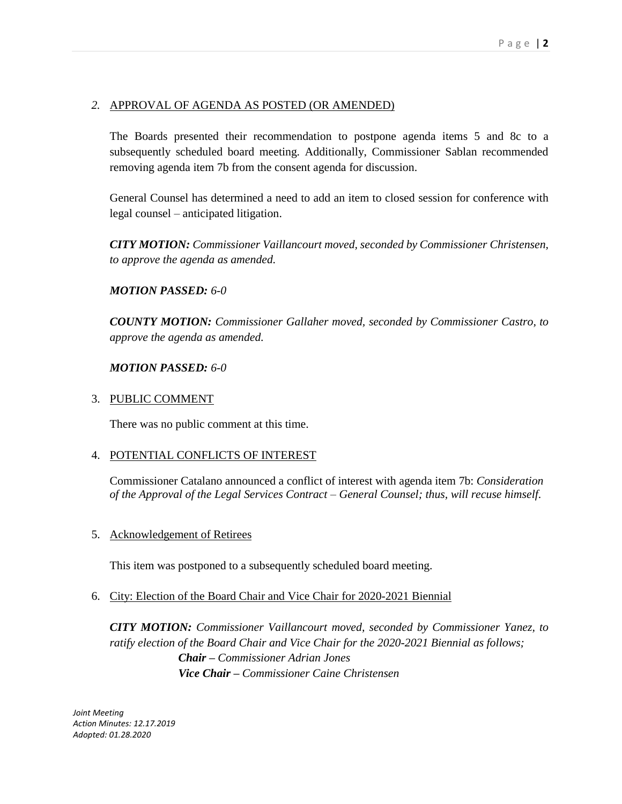# *2.* APPROVAL OF AGENDA AS POSTED (OR AMENDED)

The Boards presented their recommendation to postpone agenda items 5 and 8c to a subsequently scheduled board meeting. Additionally, Commissioner Sablan recommended removing agenda item 7b from the consent agenda for discussion.

General Counsel has determined a need to add an item to closed session for conference with legal counsel – anticipated litigation.

*CITY MOTION: Commissioner Vaillancourt moved, seconded by Commissioner Christensen, to approve the agenda as amended.*

### *MOTION PASSED: 6-0*

*COUNTY MOTION: Commissioner Gallaher moved, seconded by Commissioner Castro, to approve the agenda as amended.*

### *MOTION PASSED: 6-0*

## 3. PUBLIC COMMENT

There was no public comment at this time.

### 4. POTENTIAL CONFLICTS OF INTEREST

Commissioner Catalano announced a conflict of interest with agenda item 7b: *Consideration of the Approval of the Legal Services Contract – General Counsel; thus, will recuse himself.*

5. Acknowledgement of Retirees

This item was postponed to a subsequently scheduled board meeting.

### 6. City: Election of the Board Chair and Vice Chair for 2020-2021 Biennial

*CITY MOTION: Commissioner Vaillancourt moved, seconded by Commissioner Yanez, to*  ratify election of the Board Chair and Vice Chair for the 2020-2021 Biennial as follows; *Chair – Commissioner Adrian Jones Vice Chair – Commissioner Caine Christensen*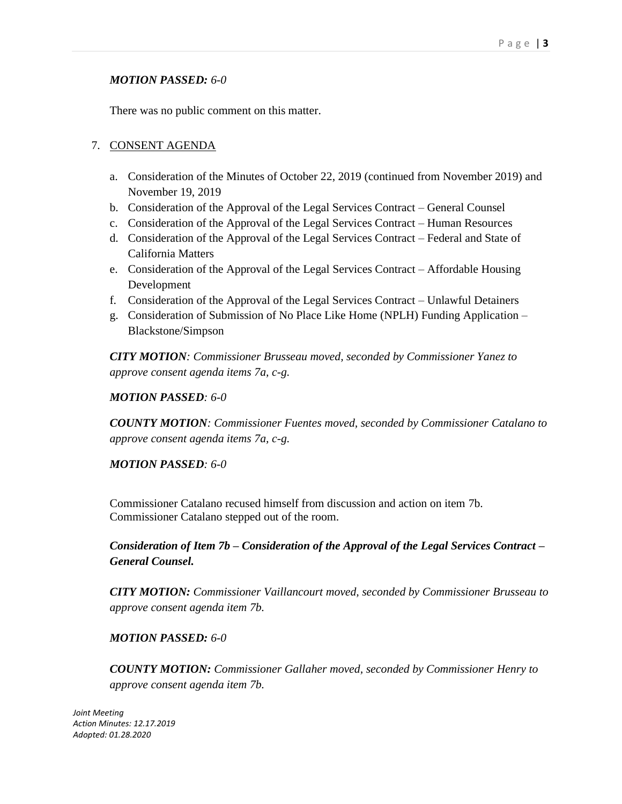# *MOTION PASSED: 6-0*

There was no public comment on this matter.

# 7. CONSENT AGENDA

- a. Consideration of the Minutes of October 22, 2019 (continued from November 2019) and November 19, 2019
- b. Consideration of the Approval of the Legal Services Contract General Counsel
- c. Consideration of the Approval of the Legal Services Contract Human Resources
- d. Consideration of the Approval of the Legal Services Contract Federal and State of California Matters
- e. Consideration of the Approval of the Legal Services Contract Affordable Housing Development
- f. Consideration of the Approval of the Legal Services Contract Unlawful Detainers
- g. Consideration of Submission of No Place Like Home (NPLH) Funding Application Blackstone/Simpson

*CITY MOTION: Commissioner Brusseau moved, seconded by Commissioner Yanez to approve consent agenda items 7a, c-g.*

## *MOTION PASSED: 6-0*

*COUNTY MOTION: Commissioner Fuentes moved, seconded by Commissioner Catalano to approve consent agenda items 7a, c-g.*

# *MOTION PASSED: 6-0*

Commissioner Catalano recused himself from discussion and action on item 7b. Commissioner Catalano stepped out of the room.

*Consideration of Item 7b – Consideration of the Approval of the Legal Services Contract – General Counsel.* 

*CITY MOTION: Commissioner Vaillancourt moved, seconded by Commissioner Brusseau to approve consent agenda item 7b.*

# *MOTION PASSED: 6-0*

*COUNTY MOTION: Commissioner Gallaher moved, seconded by Commissioner Henry to approve consent agenda item 7b.*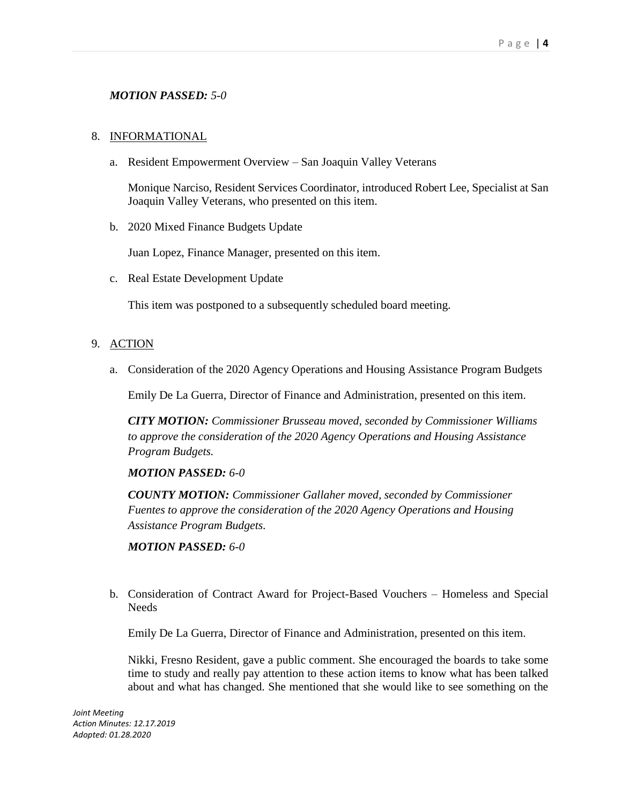# *MOTION PASSED: 5-0*

#### 8. INFORMATIONAL

a. Resident Empowerment Overview – San Joaquin Valley Veterans

Monique Narciso, Resident Services Coordinator, introduced Robert Lee, Specialist at San Joaquin Valley Veterans, who presented on this item.

b. 2020 Mixed Finance Budgets Update

Juan Lopez, Finance Manager, presented on this item.

c. Real Estate Development Update

This item was postponed to a subsequently scheduled board meeting.

#### 9. ACTION

a. Consideration of the 2020 Agency Operations and Housing Assistance Program Budgets

Emily De La Guerra, Director of Finance and Administration, presented on this item.

*CITY MOTION: Commissioner Brusseau moved, seconded by Commissioner Williams to approve the consideration of the 2020 Agency Operations and Housing Assistance Program Budgets.*

#### *MOTION PASSED: 6-0*

*COUNTY MOTION: Commissioner Gallaher moved, seconded by Commissioner Fuentes to approve the consideration of the 2020 Agency Operations and Housing Assistance Program Budgets.*

*MOTION PASSED: 6-0*

b. Consideration of Contract Award for Project-Based Vouchers – Homeless and Special **Needs** 

Emily De La Guerra, Director of Finance and Administration, presented on this item.

Nikki, Fresno Resident, gave a public comment. She encouraged the boards to take some time to study and really pay attention to these action items to know what has been talked about and what has changed. She mentioned that she would like to see something on the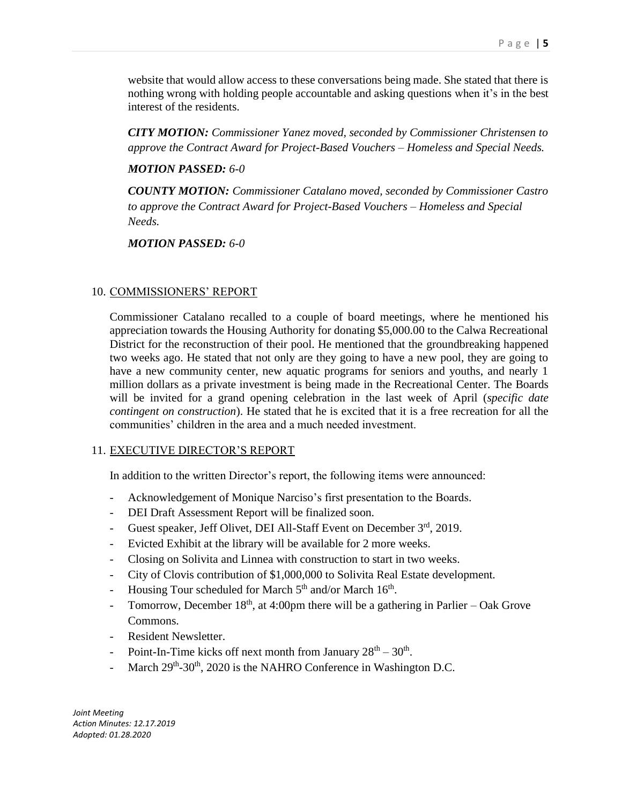website that would allow access to these conversations being made. She stated that there is nothing wrong with holding people accountable and asking questions when it's in the best interest of the residents.

*CITY MOTION: Commissioner Yanez moved, seconded by Commissioner Christensen to approve the Contract Award for Project-Based Vouchers – Homeless and Special Needs.*

### *MOTION PASSED: 6-0*

*COUNTY MOTION: Commissioner Catalano moved, seconded by Commissioner Castro to approve the Contract Award for Project-Based Vouchers – Homeless and Special Needs.*

*MOTION PASSED: 6-0*

# 10. COMMISSIONERS' REPORT

Commissioner Catalano recalled to a couple of board meetings, where he mentioned his appreciation towards the Housing Authority for donating \$5,000.00 to the Calwa Recreational District for the reconstruction of their pool. He mentioned that the groundbreaking happened two weeks ago. He stated that not only are they going to have a new pool, they are going to have a new community center, new aquatic programs for seniors and youths, and nearly 1 million dollars as a private investment is being made in the Recreational Center. The Boards will be invited for a grand opening celebration in the last week of April (*specific date contingent on construction*). He stated that he is excited that it is a free recreation for all the communities' children in the area and a much needed investment.

# 11. EXECUTIVE DIRECTOR'S REPORT

In addition to the written Director's report, the following items were announced:

- Acknowledgement of Monique Narciso's first presentation to the Boards.
- DEI Draft Assessment Report will be finalized soon.
- Guest speaker, Jeff Olivet, DEI All-Staff Event on December 3rd, 2019.
- Evicted Exhibit at the library will be available for 2 more weeks.
- Closing on Solivita and Linnea with construction to start in two weeks.
- City of Clovis contribution of \$1,000,000 to Solivita Real Estate development.
- Housing Tour scheduled for March  $5<sup>th</sup>$  and/or March  $16<sup>th</sup>$ .
- Tomorrow, December  $18<sup>th</sup>$ , at 4:00pm there will be a gathering in Parlier Oak Grove Commons.
- Resident Newsletter.
- Point-In-Time kicks off next month from January  $28<sup>th</sup> 30<sup>th</sup>$ .
- March  $29<sup>th</sup>$ -30<sup>th</sup>, 2020 is the NAHRO Conference in Washington D.C.